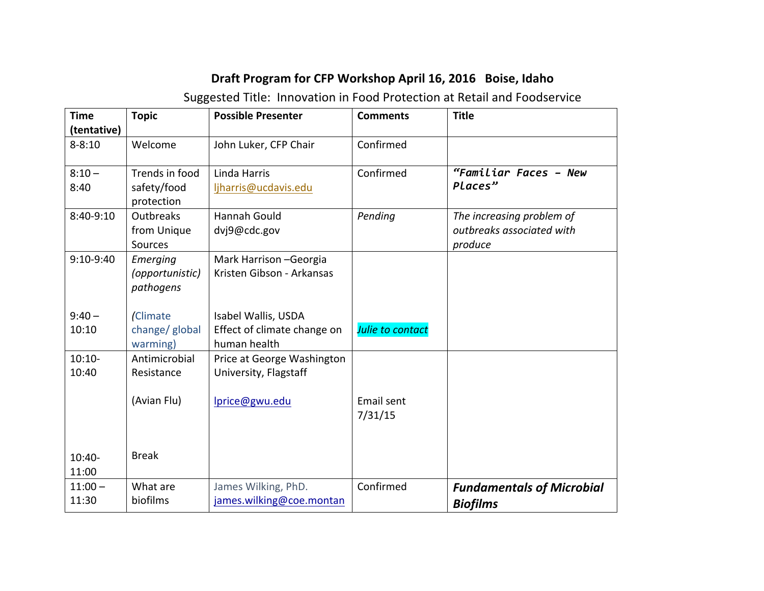## **Draft Program for CFP Workshop April 16, 2016 Boise, Idaho**

Suggested Title: Innovation in Food Protection at Retail and Foodservice

| <b>Time</b><br>(tentative) | <b>Topic</b>                                | <b>Possible Presenter</b>                                          | <b>Comments</b>              | <b>Title</b>                                                      |
|----------------------------|---------------------------------------------|--------------------------------------------------------------------|------------------------------|-------------------------------------------------------------------|
| $8 - 8:10$                 | Welcome                                     | John Luker, CFP Chair                                              | Confirmed                    |                                                                   |
| $8:10 -$<br>8:40           | Trends in food<br>safety/food<br>protection | Linda Harris<br>ljharris@ucdavis.edu                               | Confirmed                    | "Familiar Faces - New<br>Places"                                  |
| 8:40-9:10                  | <b>Outbreaks</b><br>from Unique<br>Sources  | Hannah Gould<br>dvj9@cdc.gov                                       | Pending                      | The increasing problem of<br>outbreaks associated with<br>produce |
| $9:10-9:40$                | Emerging<br>(opportunistic)<br>pathogens    | Mark Harrison - Georgia<br>Kristen Gibson - Arkansas               |                              |                                                                   |
| $9:40 -$<br>10:10          | (Climate<br>change/ global<br>warming)      | Isabel Wallis, USDA<br>Effect of climate change on<br>human health | Julie to contact             |                                                                   |
| $10:10-$<br>10:40          | Antimicrobial<br>Resistance                 | Price at George Washington<br>University, Flagstaff                |                              |                                                                   |
|                            | (Avian Flu)                                 | lprice@gwu.edu                                                     | <b>Email sent</b><br>7/31/15 |                                                                   |
| $10:40-$<br>11:00          | <b>Break</b>                                |                                                                    |                              |                                                                   |
| $11:00 -$<br>11:30         | What are<br>biofilms                        | James Wilking, PhD.<br>james.wilking@coe.montan                    | Confirmed                    | <b>Fundamentals of Microbial</b><br><b>Biofilms</b>               |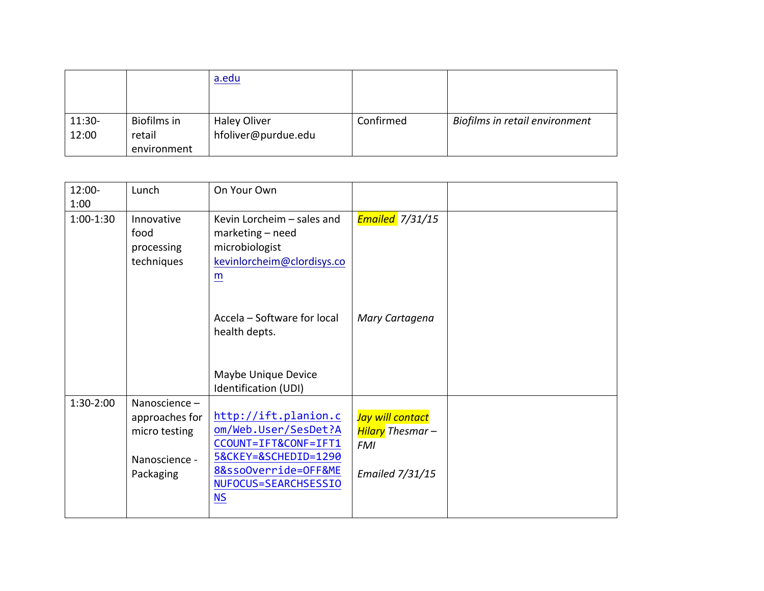|          |             | a.edu               |           |                                |
|----------|-------------|---------------------|-----------|--------------------------------|
|          |             |                     |           |                                |
| $11:30-$ | Biofilms in | <b>Haley Oliver</b> | Confirmed | Biofilms in retail environment |
| 12:00    | retail      | hfoliver@purdue.edu |           |                                |
|          | environment |                     |           |                                |

| $12:00 -$   | Lunch          | On Your Own                 |                        |  |
|-------------|----------------|-----------------------------|------------------------|--|
| 1:00        |                |                             |                        |  |
| $1:00-1:30$ | Innovative     | Kevin Lorcheim - sales and  | <b>Emailed</b> 7/31/15 |  |
|             | food           | marketing - need            |                        |  |
|             | processing     | microbiologist              |                        |  |
|             | techniques     | kevinlorcheim@clordisys.co  |                        |  |
|             |                | m                           |                        |  |
|             |                |                             |                        |  |
|             |                |                             |                        |  |
|             |                | Accela - Software for local | Mary Cartagena         |  |
|             |                | health depts.               |                        |  |
|             |                |                             |                        |  |
|             |                |                             |                        |  |
|             |                | Maybe Unique Device         |                        |  |
|             |                | Identification (UDI)        |                        |  |
| 1:30-2:00   | Nanoscience-   |                             |                        |  |
|             | approaches for | http://ift.planion.c        | Jay will contact       |  |
|             | micro testing  | om/Web.User/SesDet?A        | Hilary Thesmar -       |  |
|             |                | CCOUNT=IFT&CONF=IFT1        | <b>FMI</b>             |  |
|             | Nanoscience -  | 5&CKEY=&SCHEDID=1290        |                        |  |
|             | Packaging      | 8&ssoOverride=OFF&ME        | <b>Emailed 7/31/15</b> |  |
|             |                | NUFOCUS=SEARCHSESSIO        |                        |  |
|             |                | <b>NS</b>                   |                        |  |
|             |                |                             |                        |  |